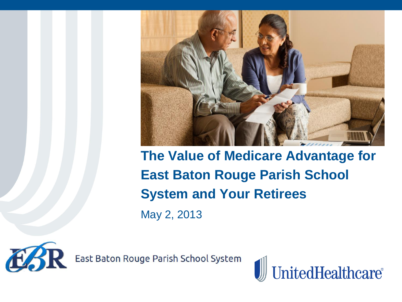

**The Value of Medicare Advantage for East Baton Rouge Parish School System and Your Retirees** May 2, 2013



East Baton Rouge Parish School System

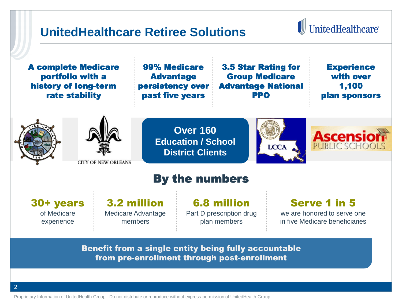### **UnitedHealthcare Retiree Solutions**

# **I** UnitedHealthcare®

A complete Medicare portfolio with a history of long-term rate stability

99% Medicare Advantage persistency over past five years

3.5 Star Rating for Group Medicare Advantage National PPO

**Experience** with over 1,100 plan sponsors





**Over 160 Education / School District Clients**





### By the numbers

30+ years of Medicare experience

3.2 million Medicare Advantage members

6.8 million Part D prescription drug plan members

#### Serve 1 in 5

we are honored to serve one in five Medicare beneficiaries

Benefit from a single entity being fully accountable from pre-enrollment through post-enrollment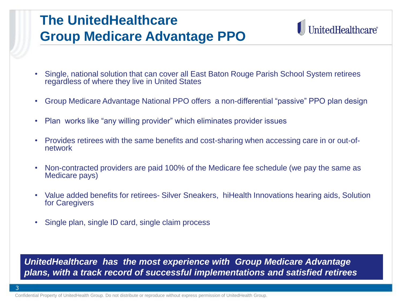# **The UnitedHealthcare Group Medicare Advantage PPO**

# **UnitedHealthcare®**

- Single, national solution that can cover all East Baton Rouge Parish School System retirees regardless of where they live in United States
- Group Medicare Advantage National PPO offers a non-differential "passive" PPO plan design
- Plan works like "any willing provider" which eliminates provider issues
- Provides retirees with the same benefits and cost-sharing when accessing care in or out-ofnetwork
- Non-contracted providers are paid 100% of the Medicare fee schedule (we pay the same as Medicare pays)
- Value added benefits for retirees- Silver Sneakers, hiHealth Innovations hearing aids, Solution for Caregivers
- Single plan, single ID card, single claim process

*UnitedHealthcare has the most experience with Group Medicare Advantage plans, with a track record of successful implementations and satisfied retirees*

Confidential Property of UnitedHealth Group. Do not distribute or reproduce without express permission of UnitedHealth Group.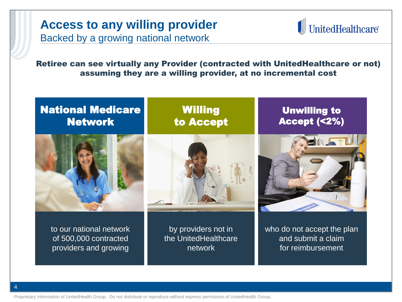#### **Access to any willing provider**  Backed by a growing national network



Retiree can see virtually any Provider (contracted with UnitedHealthcare or not) assuming they are a willing provider, at no incremental cost

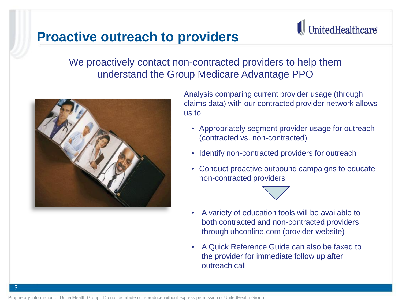# **Proactive outreach to providers**

# UnitedHealthcare®

#### We proactively contact non-contracted providers to help them understand the Group Medicare Advantage PPO



5

Analysis comparing current provider usage (through claims data) with our contracted provider network allows us to:

- Appropriately segment provider usage for outreach (contracted vs. non-contracted)
- Identify non-contracted providers for outreach
- Conduct proactive outbound campaigns to educate non-contracted providers



• A Quick Reference Guide can also be faxed to the provider for immediate follow up after outreach call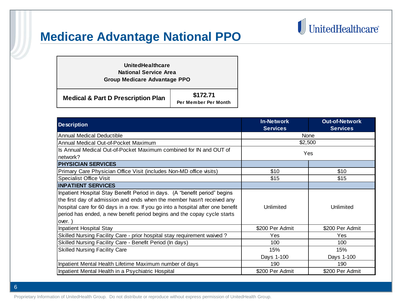### **Medicare Advantage National PPO**

#### **\$172.71 Per Member Per Month Medical & Part D Prescription Plan UnitedHealthcare National Service Area Group Medicare Advantage PPO**

| <b>Description</b>                                                              | <b>In-Network</b><br><b>Services</b> | <b>Out-of-Network</b><br><b>Services</b> |
|---------------------------------------------------------------------------------|--------------------------------------|------------------------------------------|
| Annual Medical Deductible                                                       | None                                 |                                          |
| Annual Medical Out-of-Pocket Maximum                                            | \$2,500                              |                                          |
| Is Annual Medical Out-of-Pocket Maximum combined for IN and OUT of              |                                      |                                          |
| network?                                                                        | Yes                                  |                                          |
| <b>PHYSICIAN SERVICES</b>                                                       |                                      |                                          |
| Primary Care Physician Office Visit (includes Non-MD office visits)             | \$10                                 | \$10                                     |
| Specialist Office Visit                                                         | \$15                                 | \$15                                     |
| <b>INPATIENT SERVICES</b>                                                       |                                      |                                          |
| Inpatient Hospital Stay Benefit Period in days. (A "benefit period" begins      |                                      |                                          |
| the first day of admission and ends when the member hasn't received any         |                                      |                                          |
| hospital care for 60 days in a row. If you go into a hospital after one benefit | Unlimited                            | Unlimited                                |
| period has ended, a new benefit period begins and the copay cycle starts        |                                      |                                          |
| over.                                                                           |                                      |                                          |
| Inpatient Hospital Stay                                                         | \$200 Per Admit                      | \$200 Per Admit                          |
| Skilled Nursing Facility Care - prior hospital stay requirement waived?         | Yes                                  | Yes                                      |
| Skilled Nursing Facility Care - Benefit Period (In days)                        | 100                                  | 100                                      |
| <b>Skilled Nursing Facility Care</b>                                            | 15%                                  | 15%                                      |
|                                                                                 | Days 1-100                           | Days 1-100                               |
| Inpatient Mental Health Lifetime Maximum number of days                         | 190                                  | 190                                      |
| Inpatient Mental Health in a Psychiatric Hospital                               | \$200 Per Admit                      | \$200 Per Admit                          |

 $\textcolor{red}{\blacksquare}$  United<br>Healthcare

Proprietary Information of UnitedHealth Group. Do not distribute or reproduce without express permission of UnitedHealth Group.

6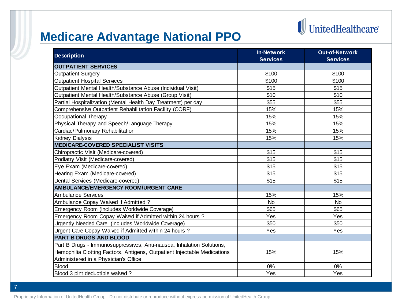# $\begin{tabular}{c} {\bf\color{red}{\parallel}} UnitedHealthcare \end{tabular}$

# **Medicare Advantage National PPO**

| <b>Description</b>                                                       | <b>In-Network</b><br><b>Services</b> | <b>Out-of-Network</b><br><b>Services</b> |
|--------------------------------------------------------------------------|--------------------------------------|------------------------------------------|
| <b>OUTPATIENT SERVICES</b>                                               |                                      |                                          |
| <b>Outpatient Surgery</b>                                                | \$100                                | \$100                                    |
| <b>Outpatient Hospital Services</b>                                      | \$100                                | \$100                                    |
| Outpatient Mental Health/Substance Abuse (Individual Visit)              | \$15                                 | \$15                                     |
| Outpatient Mental Health/Substance Abuse (Group Visit)                   | \$10                                 | \$10                                     |
| Partial Hospitalization (Mental Health Day Treatment) per day            | \$55                                 | \$55                                     |
| Comprehensive Outpatient Rehabilitation Facility (CORF)                  | 15%                                  | 15%                                      |
| Occupational Therapy                                                     | 15%                                  | 15%                                      |
| Physical Therapy and Speech/Language Therapy                             | 15%                                  | 15%                                      |
| Cardiac/Pulmonary Rehabilitation                                         | 15%                                  | 15%                                      |
| <b>Kidney Dialysis</b>                                                   | 15%                                  | 15%                                      |
| <b>MEDICARE-COVERED SPECIALIST VISITS</b>                                |                                      |                                          |
| Chiropractic Visit (Medicare-covered)                                    | \$15                                 | \$15                                     |
| Podiatry Visit (Medicare-covered)                                        | \$15                                 | \$15                                     |
| Eye Exam (Medicare-covered)                                              | \$15                                 | \$15                                     |
| Hearing Exam (Medicare-covered)                                          | \$15                                 | \$15                                     |
| Dental Services (Medicare-covered)                                       | \$15                                 | \$15                                     |
| <b>AMBULANCE/EMERGENCY ROOM/URGENT CARE</b>                              |                                      |                                          |
| <b>Ambulance Services</b>                                                | 15%                                  | 15%                                      |
| Ambulance Copay Waived if Admitted?                                      | <b>No</b>                            | <b>No</b>                                |
| Emergency Room (Includes Worldwide Coverage)                             | \$65                                 | \$65                                     |
| Emergency Room Copay Waived if Admitted within 24 hours?                 | Yes                                  | Yes                                      |
| Urgently Needed Care (Includes Worldwide Coverage)                       | \$50                                 | \$50                                     |
| Urgent Care Copay Waived if Admitted within 24 hours?                    | Yes                                  | Yes                                      |
| <b>PART B DRUGS AND BLOOD</b>                                            |                                      |                                          |
| Part B Drugs - Immunosuppressives, Anti-nausea, Inhalation Solutions,    |                                      |                                          |
| Hemophilia Clotting Factors, Antigens, Outpatient Injectable Medications | 15%                                  | 15%                                      |
| Administered in a Physician's Office                                     |                                      |                                          |
| <b>Blood</b>                                                             | 0%                                   | 0%                                       |
| Blood 3 pint deductible waived?                                          | Yes                                  | Yes                                      |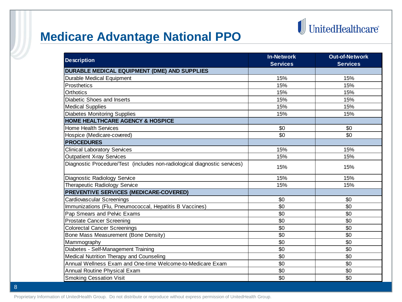# $\begin{tabular}{c} {\bf\color{red}{\parallel}} UnitedHealthcare \end{tabular}$

# **Medicare Advantage National PPO**

| <b>Description</b>                                                        | <b>In-Network</b> | <b>Out-of-Network</b> |
|---------------------------------------------------------------------------|-------------------|-----------------------|
|                                                                           | <b>Services</b>   | <b>Services</b>       |
| <b>DURABLE MEDICAL EQUIPMENT (DME) AND SUPPLIES</b>                       |                   |                       |
| <b>Durable Medical Equipment</b>                                          | 15%               | 15%                   |
| Prosthetics                                                               | 15%               | 15%                   |
| Orthotics                                                                 | 15%               | 15%                   |
| Diabetic Shoes and Inserts                                                | 15%               | 15%                   |
| <b>Medical Supplies</b>                                                   | 15%               | 15%                   |
| <b>Diabetes Monitoring Supplies</b>                                       | 15%               | 15%                   |
| <b>HOME HEALTHCARE AGENCY &amp; HOSPICE</b>                               |                   |                       |
| <b>Home Health Services</b>                                               | \$0               | \$0                   |
| Hospice (Medicare-covered)                                                | \$0               | \$0                   |
| <b>PROCEDURES</b>                                                         |                   |                       |
| <b>Clinical Laboratory Services</b>                                       | 15%               | 15%                   |
| <b>Outpatient X-ray Services</b>                                          | 15%               | 15%                   |
| Diagnostic Procedure/Test (includes non-radiological diagnostic services) | 15%               | 15%                   |
| Diagnostic Radiology Service                                              | 15%               | 15%                   |
| Therapeutic Radiology Service                                             | 15%               | 15%                   |
| <b>PREVENTIVE SERVICES (MEDICARE-COVERED)</b>                             |                   |                       |
| Cardiovascular Screenings                                                 | \$0               | \$0                   |
| Immunizations (Flu, Pneumococcal, Hepatitis B Vaccines)                   | \$0               | \$0                   |
| Pap Smears and Pelvic Exams                                               | \$0               | \$0                   |
| <b>Prostate Cancer Screening</b>                                          | \$0               | \$0                   |
| <b>Colorectal Cancer Screenings</b>                                       | \$0               | \$0                   |
| Bone Mass Measurement (Bone Density)                                      | \$0               | \$0                   |
| Mammography                                                               | \$0               | \$0                   |
| Diabetes - Self-Management Training                                       | \$0               | \$0                   |
| Medical Nutrition Therapy and Counseling                                  | \$0               | \$0                   |
| Annual Wellness Exam and One-time Welcome-to-Medicare Exam                | \$0               | \$0                   |
| Annual Routine Physical Exam                                              | \$0               | \$0                   |
| <b>Smoking Cessation Visit</b>                                            | \$0               | \$0                   |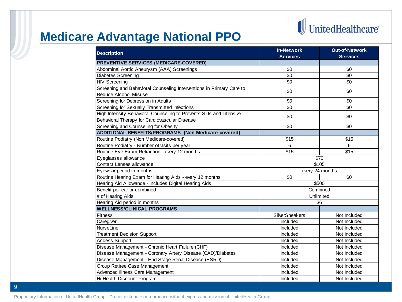

### **Medicare Advantage National PPO**

| <b>Description</b>                                                   | <b>In-Network</b>        | <b>Out-of-Network</b> |  |
|----------------------------------------------------------------------|--------------------------|-----------------------|--|
|                                                                      | <b>Services</b>          | <b>Services</b>       |  |
| <b>PREVENTIVE SERVICES (MEDICARE-COVERED)</b>                        |                          |                       |  |
| Abdominal Aortic Aneurysm (AAA) Screenings                           | \$0                      | \$0                   |  |
| Diabetes Screening                                                   | \$0                      | \$0                   |  |
| <b>HIV Screening</b>                                                 | \$0                      | \$0                   |  |
| Screening and Behavioral Counseling Interventions in Primary Care to | \$0                      | \$0                   |  |
| <b>Reduce Alcohol Misuse</b>                                         |                          |                       |  |
| Screening for Depression in Adults                                   | \$0                      | \$0                   |  |
| Screening for Sexually Transmitted Infections                        | \$0                      | \$0                   |  |
| High Intensity Behavioral Counseling to Prevents STIs and Intensive  | \$0                      | \$0                   |  |
| Behavioral Therapy for Cardiovascular Disease                        |                          |                       |  |
| Screening and Counseling for Obesity                                 | \$0                      | \$0                   |  |
| <b>ADDITIONAL BENEFITS/PROGRAMS (Non Medicare-covered)</b>           |                          |                       |  |
| Routine Podiatry (Non Medicare-covered)                              | \$15                     | \$15                  |  |
| Routine Podiatry - Number of visits per year                         | 6                        | 6                     |  |
| Routine Eye Exam Refraction - every 12 months                        | \$15                     | \$15                  |  |
| Eyeglasses allowance                                                 | \$70                     |                       |  |
| Contact Lenses allowance                                             |                          | \$105                 |  |
| Eyewear period in months                                             | every 24 months          |                       |  |
| Routine Hearing Exam for Hearing Aids - every 12 months              | \$0                      | \$0                   |  |
| Hearing Aid Allowance - includes Digital Hearing Aids                | \$500                    |                       |  |
| Benefit per ear or combined                                          | Combined                 |                       |  |
| # of Hearing Aids                                                    | Unlimited                |                       |  |
| Hearing Aid period in months                                         | 36                       |                       |  |
| <b>WELLNESS/CLINICAL PROGRAMS</b>                                    |                          |                       |  |
| <b>Fitness</b>                                                       | <b>SilverSneakers</b>    | Not Included          |  |
| Caregiver                                                            | Included                 | Not Included          |  |
| <b>NurseLine</b>                                                     | Included                 | Not Included          |  |
| <b>Treatment Decision Support</b>                                    | Not Included<br>Included |                       |  |
| <b>Access Support</b>                                                | Included<br>Not Included |                       |  |
| Disease Management - Chronic Heart Failure (CHF)                     | Included<br>Not Included |                       |  |
| Disease Management - Coronary Artery Disease (CAD)/Diabetes          | Included<br>Not Included |                       |  |
| Disease Management - End Stage Renal Disease (ESRD)                  | Included<br>Not Included |                       |  |
| Group Retiree Case Management                                        | Included                 | Not Included          |  |
| Advanced Illness Care Management                                     | Included                 | Not Included          |  |
| Hi Health Discount Program                                           | Included                 | Not Included          |  |

Proprietary Information of UnitedHealth Group. Do not distribute or reproduce without express permission of UnitedHealth Group.

9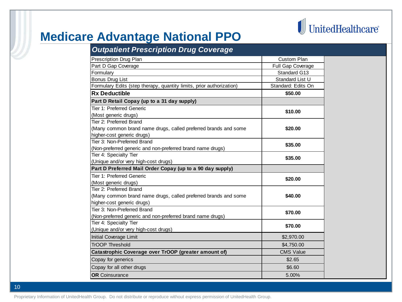

### **Medicare Advantage National PPO**

| <b>Outpatient Prescription Drug Coverage</b>                         |                    |
|----------------------------------------------------------------------|--------------------|
| Prescription Drug Plan                                               | <b>Custom Plan</b> |
| Part D Gap Coverage                                                  | Full Gap Coverage  |
| Formulary                                                            | Standard G13       |
| Bonus Drug List                                                      | Standard List U    |
| Formulary Edits (step therapy, quantity limits, prior authorization) | Standard: Edits On |
| <b>Rx Deductible</b>                                                 | \$50.00            |
| Part D Retail Copay (up to a 31 day supply)                          |                    |
| Tier 1: Preferred Generic                                            | \$10.00            |
| (Most generic drugs)                                                 |                    |
| Tier 2: Preferred Brand                                              |                    |
| (Many common brand name drugs, called preferred brands and some      | \$20.00            |
| higher-cost generic drugs)                                           |                    |
| Tier 3: Non-Preferred Brand                                          | \$35.00            |
| (Non-preferred generic and non-preferred brand name drugs)           |                    |
| Tier 4: Specialty Tier                                               | \$35.00            |
| (Unique and/or very high-cost drugs)                                 |                    |
| Part D Preferred Mail Order Copay (up to a 90 day supply)            |                    |
| Tier 1: Preferred Generic                                            | \$20.00            |
| (Most generic drugs)                                                 |                    |
| Tier 2: Preferred Brand                                              |                    |
| (Many common brand name drugs, called preferred brands and some      | \$40.00            |
| higher-cost generic drugs)                                           |                    |
| Tier 3: Non-Preferred Brand                                          | \$70.00            |
| (Non-preferred generic and non-preferred brand name drugs)           |                    |
| Tier 4: Specialty Tier                                               | \$70.00            |
| (Unique and/or very high-cost drugs)                                 |                    |
| Initial Coverage Limit                                               | \$2,970.00         |
| <b>TrOOP Threshold</b>                                               | \$4,750.00         |
| Catastrophic Coverage over TrOOP (greater amount of)                 | <b>CMS Value</b>   |
| Copay for generics                                                   | \$2.65             |
| Copay for all other drugs                                            | \$6.60             |
| <b>OR</b> Coinsurance                                                | 5.00%              |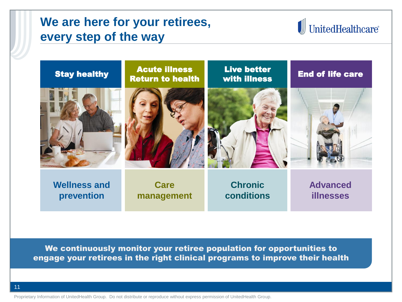### **We are here for your retirees, every step of the way**

# I UnitedHealthcare®



We continuously monitor your retiree population for opportunities to engage your retirees in the right clinical programs to improve their health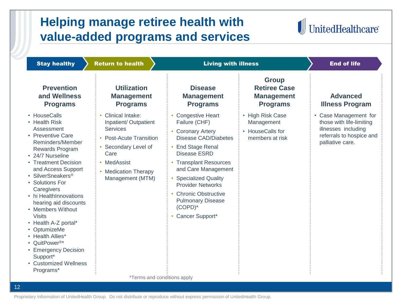# **Helping manage retiree health with value-added programs and services**



Stay healthy Stay Return to health Stay Alliess and Stay health and of life **Prevention and Wellness Programs Utilization Management Programs Disease Management Programs Group Retiree Case Management Programs Advanced Illness Program** • HouseCalls • Health Risk Assessment • Preventive Care Reminders/Member Rewards Program • 24/7 Nurseline • Treatment Decision and Access Support • SilverSneakers® • Solutions For **Caregivers** • hi HealthInnovations hearing aid discounts • Members Without Visits • Health A-Z portal\* • OptumizeMe • Health Allies\* • QuitPower®\* • Emergency Decision Support\* • Customized Wellness Programs\* • Clinical Intake: Inpatient/ Outpatient **Services** • Post-Acute Transition Secondary Level of Care • MedAssist • Medication Therapy Management (MTM) • Congestive Heart Failure (CHF) • Coronary Artery Disease CAD/Diabetes • End Stage Renal Disease ESRD • Transplant Resources and Care Management • Specialized Quality Provider Networks • Chronic Obstructive Pulmonary Disease (COPD)\* • Cancer Support\* • High Risk Case Management • HouseCalls for members at risk • Case Management for those with life-limiting illnesses including referrals to hospice and palliative care. \*Terms and conditions apply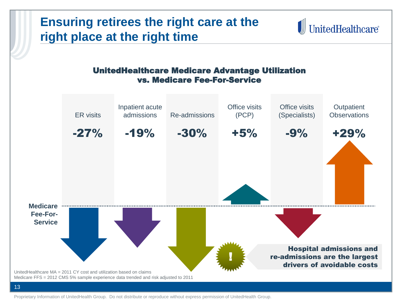#### **Ensuring retirees the right care at the I** UnitedHealthcare® **right place at the right time** UnitedHealthcare Medicare Advantage Utilization vs. Medicare Fee-For-Service Office visits Office visits Inpatient acute **Outpatient** ER visits admissions Re-admissions (PCP) (Specialists) **Observations** -27% -19% -30% +5% -9% +29% **Medicare Fee-For-Service** Hospital admissions and ! re-admissions are the largest drivers of avoidable costs UnitedHealthcare MA = 2011 CY cost and utilization based on claims Medicare FFS = 2012 CMS 5% sample experience data trended and risk adjusted to 2011

Proprietary Information of UnitedHealth Group. Do not distribute or reproduce without express permission of UnitedHealth Group.

13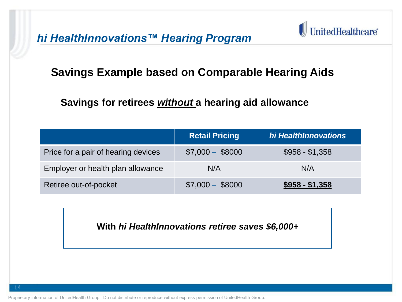*hi HealthInnovations™ Hearing Program* 



#### **Savings Example based on Comparable Hearing Aids**

 **Savings for retirees** *without* **a hearing aid allowance** 

|                                     | <b>Retail Pricing</b> | hi HealthInnovations |
|-------------------------------------|-----------------------|----------------------|
| Price for a pair of hearing devices | $$7,000 - $8000$      | $$958 - $1,358$      |
| Employer or health plan allowance   | N/A                   | N/A                  |
| Retiree out-of-pocket               | $$7,000 - $8000$      | $$958 - $1,358$      |

**With** *hi HealthInnovations retiree saves \$6,000+*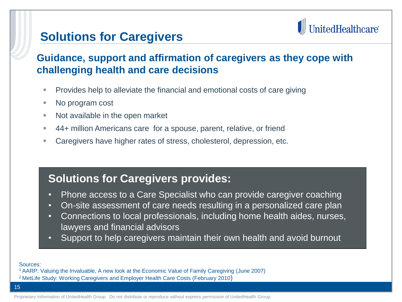### **Solutions for Caregivers**

# UnitedHealthcare®

#### **Guidance, support and affirmation of caregivers as they cope with challenging health and care decisions**

- **Provides help to alleviate the financial and emotional costs of care giving**
- No program cost
- Not available in the open market
- 44+ million Americans care for a spouse, parent, relative, or friend
- Caregivers have higher rates of stress, cholesterol, depression, etc.

### **Solutions for Caregivers provides:**

- Phone access to a Care Specialist who can provide caregiver coaching
- On-site assessment of care needs resulting in a personalized care plan
- Connections to local professionals, including home health aides, nurses, lawyers and financial advisors
- Support to help caregivers maintain their own health and avoid burnout

Sources:

- <sup>1</sup>AARP: Valuing the Invaluable, A new look at the Economic Value of Family Caregiving (June 2007)
- <sup>2</sup> MetLife Study: Working Caregivers and Employer Health Care Costs (February 2010)

15